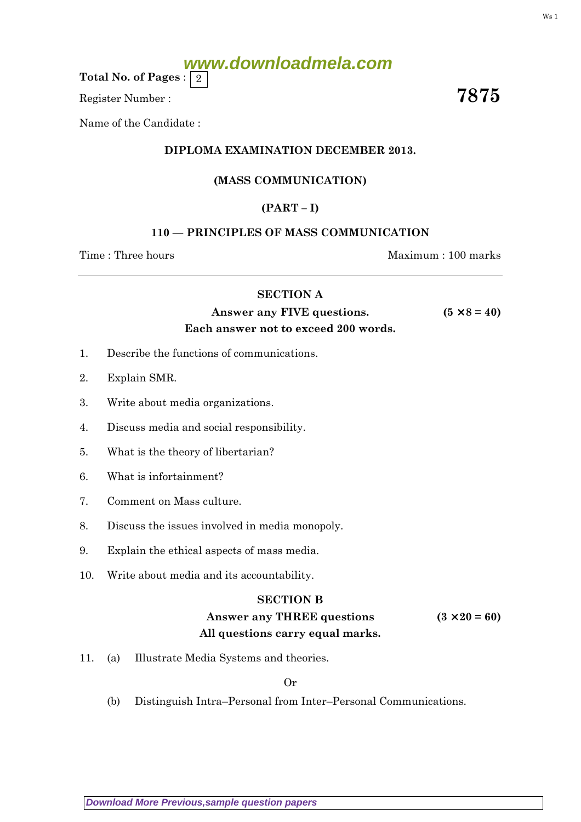# **www.downloadmela.com**

Total No. of Pages :  $\mid 2 \rangle$ 

Register Number :  $\overline{7875}$ 

Name of the Candidate :

### DIPLOMA EXAMINATION DECEMBER 2013.

#### (MASS COMMUNICATION)

## $(PART - I)$

#### 110 — PRINCIPLES OF MASS COMMUNICATION

Time : Three hours and the matter of the Maximum : 100 marks

#### SECTION A

# Answer any FIVE questions.  $(5 \times 8 = 40)$ Each answer not to exceed 200 words.

- 1. Describe the functions of communications.
- 2. Explain SMR.
- 3. Write about media organizations.
- 4. Discuss media and social responsibility.
- 5. What is the theory of libertarian?
- 6. What is infortainment?
- 7. Comment on Mass culture.
- 8. Discuss the issues involved in media monopoly.
- 9. Explain the ethical aspects of mass media.
- 10. Write about media and its accountability.

#### SECTION B

# Answer any THREE questions  $(3 \times 20 = 60)$ All questions carry equal marks.

11. (a) Illustrate Media Systems and theories.

Or

(b) Distinguish Intra–Personal from Inter–Personal Communications.